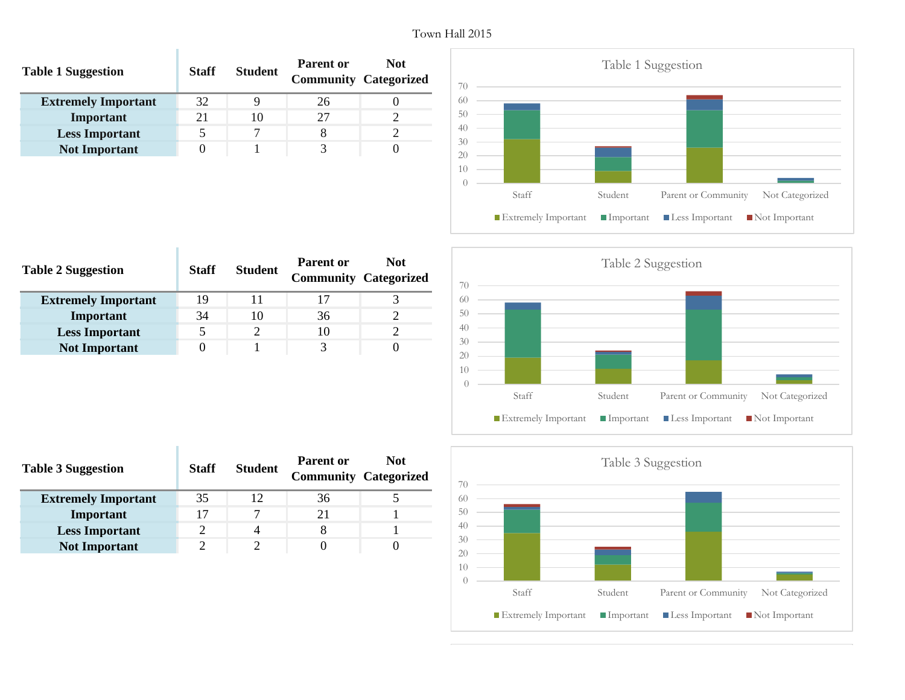| <b>Table 1 Suggestion</b>  | <b>Staff</b> | <b>Student</b> | Parent or | Not.<br><b>Community Categorized</b> |
|----------------------------|--------------|----------------|-----------|--------------------------------------|
| <b>Extremely Important</b> | 32           |                | 26        |                                      |
| Important                  | 21           | 10             | 27        |                                      |
| <b>Less Important</b>      |              |                |           |                                      |
| <b>Not Important</b>       |              |                |           |                                      |



| <b>Table 2 Suggestion</b>  | <b>Staff</b> | <b>Student</b> | <b>Parent or</b> | Not.<br><b>Community Categorized</b> |
|----------------------------|--------------|----------------|------------------|--------------------------------------|
| <b>Extremely Important</b> | 19           |                |                  |                                      |
| Important                  | 34           |                | 36               |                                      |
| <b>Less Important</b>      |              |                | 10               |                                      |
| <b>Not Important</b>       |              |                |                  |                                      |



| <b>Table 3 Suggestion</b>  | <b>Staff</b> | <b>Student</b> | <b>Parent or</b> | <b>Not</b><br><b>Community Categorized</b> |
|----------------------------|--------------|----------------|------------------|--------------------------------------------|
| <b>Extremely Important</b> | 35           |                | 36               |                                            |
| Important                  |              |                | 21               |                                            |
| <b>Less Important</b>      |              | Δ              |                  |                                            |
| <b>Not Important</b>       |              |                |                  |                                            |

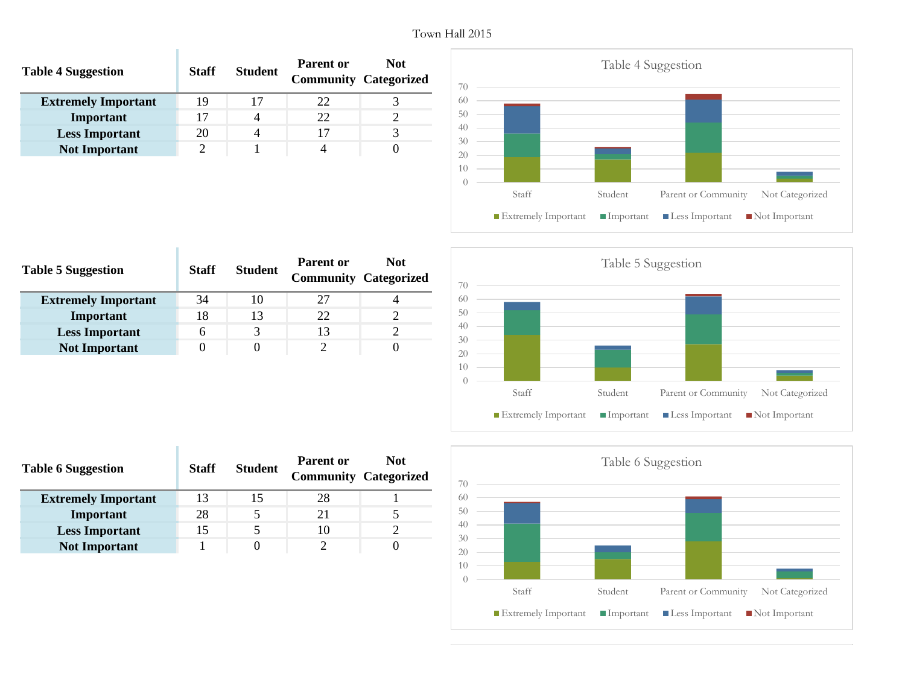| <b>Table 4 Suggestion</b>  | <b>Staff</b> | <b>Student</b> | <b>Parent or</b> | <b>Not</b><br><b>Community Categorized</b> |
|----------------------------|--------------|----------------|------------------|--------------------------------------------|
| <b>Extremely Important</b> | 19           |                | 22               |                                            |
| Important                  |              | 4              | 22               |                                            |
| <b>Less Important</b>      | 20           | Δ              |                  |                                            |
| <b>Not Important</b>       |              |                | 4                |                                            |



| <b>Table 5 Suggestion</b>  | <b>Staff</b> | <b>Student</b> | <b>Parent or</b> | Not.<br><b>Community Categorized</b> |
|----------------------------|--------------|----------------|------------------|--------------------------------------|
| <b>Extremely Important</b> | 34           |                |                  |                                      |
| Important                  | 18           | 13             | 22               |                                      |
| <b>Less Important</b>      | h            |                | 13               |                                      |
| <b>Not Important</b>       |              |                |                  |                                      |



| <b>Table 6 Suggestion</b>  | <b>Staff</b> | <b>Student</b> | <b>Parent or</b> | <b>Not</b><br><b>Community Categorized</b> |
|----------------------------|--------------|----------------|------------------|--------------------------------------------|
| <b>Extremely Important</b> |              | 15             | 28               |                                            |
| Important                  | 28           |                | 21               |                                            |
| <b>Less Important</b>      |              |                |                  |                                            |
| <b>Not Important</b>       |              |                |                  |                                            |

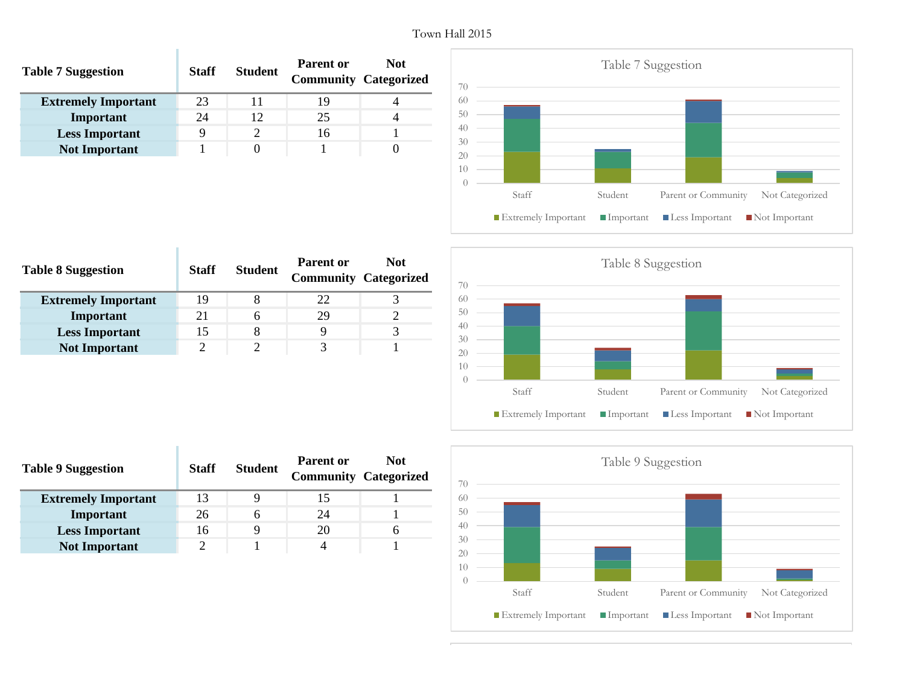| <b>Table 7 Suggestion</b>  | <b>Staff</b> | <b>Student</b> | Parent or | Not.<br><b>Community Categorized</b> |
|----------------------------|--------------|----------------|-----------|--------------------------------------|
| <b>Extremely Important</b> | 23           |                | 19        |                                      |
| Important                  | 24           | 12             | 25        |                                      |
| <b>Less Important</b>      | Q            |                | 16        |                                      |
| <b>Not Important</b>       |              |                |           |                                      |



| <b>Table 8 Suggestion</b>  | <b>Staff</b> | <b>Student</b> | Parent or | Not.<br><b>Community Categorized</b> |
|----------------------------|--------------|----------------|-----------|--------------------------------------|
| <b>Extremely Important</b> | 19           |                | 22        |                                      |
| Important                  | 21           |                | 29        |                                      |
| <b>Less Important</b>      |              |                |           |                                      |
| <b>Not Important</b>       |              |                |           |                                      |



| <b>Table 9 Suggestion</b>  | <b>Staff</b> | <b>Student</b> | <b>Parent or</b> | <b>Not</b><br><b>Community Categorized</b> |
|----------------------------|--------------|----------------|------------------|--------------------------------------------|
| <b>Extremely Important</b> |              |                | 15               |                                            |
| Important                  | 26           |                | 24               |                                            |
| <b>Less Important</b>      | 16           | Q              | 20               |                                            |
| <b>Not Important</b>       |              |                |                  |                                            |

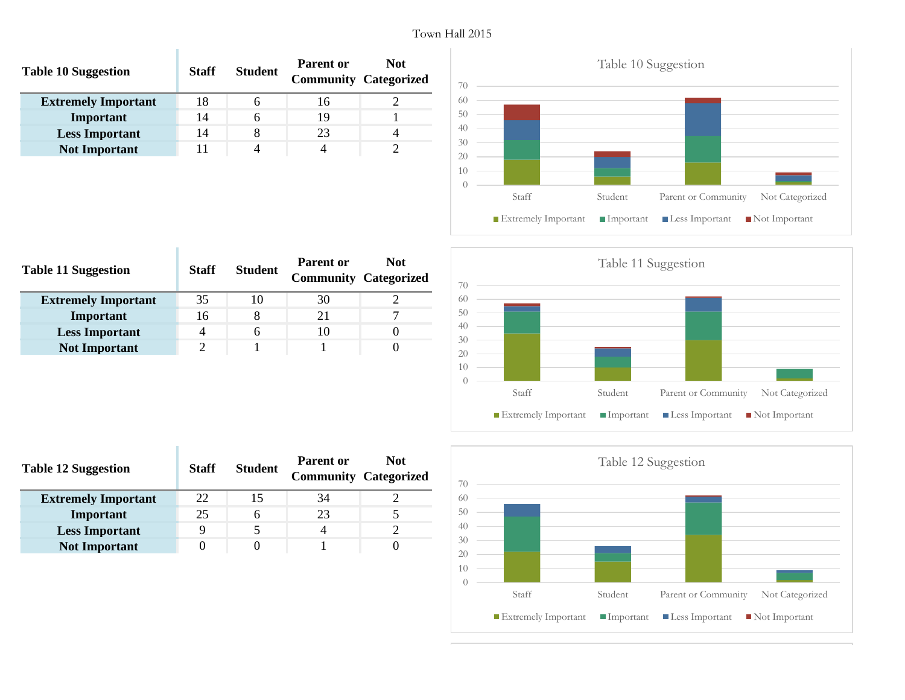| <b>Table 10 Suggestion</b> | <b>Staff</b> | <b>Student</b> | <b>Parent or</b> | Not.<br><b>Community Categorized</b> |
|----------------------------|--------------|----------------|------------------|--------------------------------------|
| <b>Extremely Important</b> | 18           |                | 16               |                                      |
| Important                  | 14           | h              | 19               |                                      |
| <b>Less Important</b>      | 14           |                | 23               |                                      |
| <b>Not Important</b>       |              |                |                  |                                      |



| <b>Table 11 Suggestion</b> | <b>Staff</b> | <b>Student</b> | <b>Parent or</b> | Not.<br><b>Community Categorized</b> |
|----------------------------|--------------|----------------|------------------|--------------------------------------|
| <b>Extremely Important</b> | 35           | 10             | 30               |                                      |
| Important                  | 16           |                | 21               |                                      |
| <b>Less Important</b>      |              | h              | 10               |                                      |
| <b>Not Important</b>       |              |                |                  |                                      |



| <b>Table 12 Suggestion</b> | <b>Staff</b> | <b>Student</b> | <b>Parent or</b> | Not.<br><b>Community Categorized</b> |
|----------------------------|--------------|----------------|------------------|--------------------------------------|
| <b>Extremely Important</b> | 22           |                | 34               |                                      |
| Important                  | 25           |                | 23               |                                      |
| <b>Less Important</b>      |              |                |                  |                                      |
| <b>Not Important</b>       |              |                |                  |                                      |

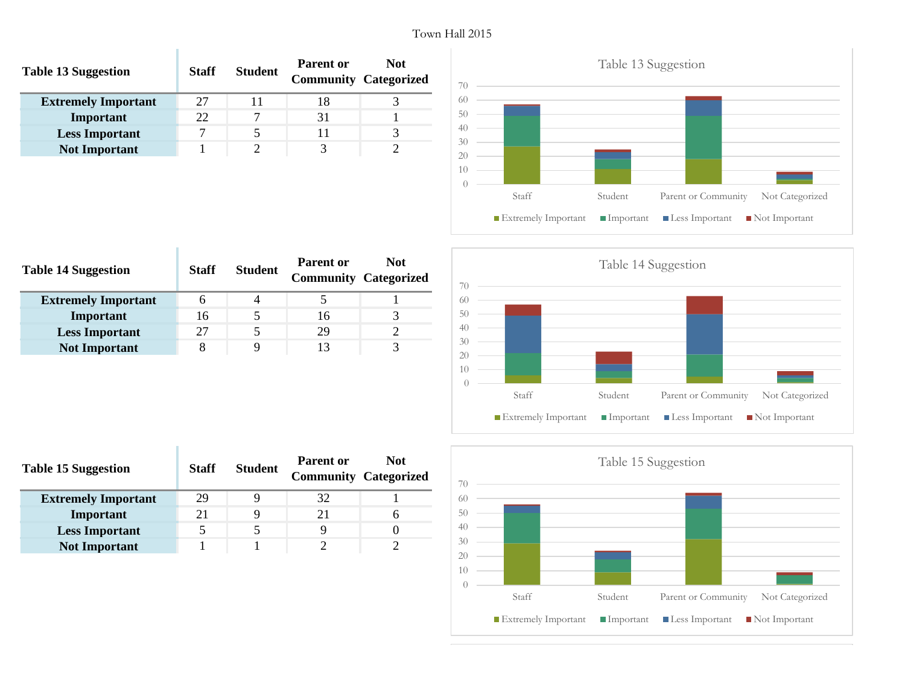| <b>Table 13 Suggestion</b> | <b>Staff</b> | <b>Student</b> | Parent or | Not.<br><b>Community Categorized</b> |
|----------------------------|--------------|----------------|-----------|--------------------------------------|
| <b>Extremely Important</b> |              |                | 18        |                                      |
| Important                  | 22           |                | 31        |                                      |
| <b>Less Important</b>      |              |                |           |                                      |
| <b>Not Important</b>       |              |                |           |                                      |



| <b>Table 14 Suggestion</b> | <b>Staff</b> | <b>Student</b> | <b>Parent or</b> | <b>Not</b><br><b>Community Categorized</b> |
|----------------------------|--------------|----------------|------------------|--------------------------------------------|
| <b>Extremely Important</b> |              |                |                  |                                            |
| Important                  | 16           |                | 16               |                                            |
| <b>Less Important</b>      | 27           |                | 29               |                                            |
| <b>Not Important</b>       | 8            |                |                  |                                            |



| <b>Table 15 Suggestion</b> | <b>Staff</b> | <b>Student</b> | <b>Parent or</b> | <b>Not</b><br><b>Community Categorized</b> |
|----------------------------|--------------|----------------|------------------|--------------------------------------------|
| <b>Extremely Important</b> | 29           |                | 32               |                                            |
| Important                  | 21           |                | 21               |                                            |
| <b>Less Important</b>      |              |                |                  |                                            |
| <b>Not Important</b>       |              |                |                  |                                            |

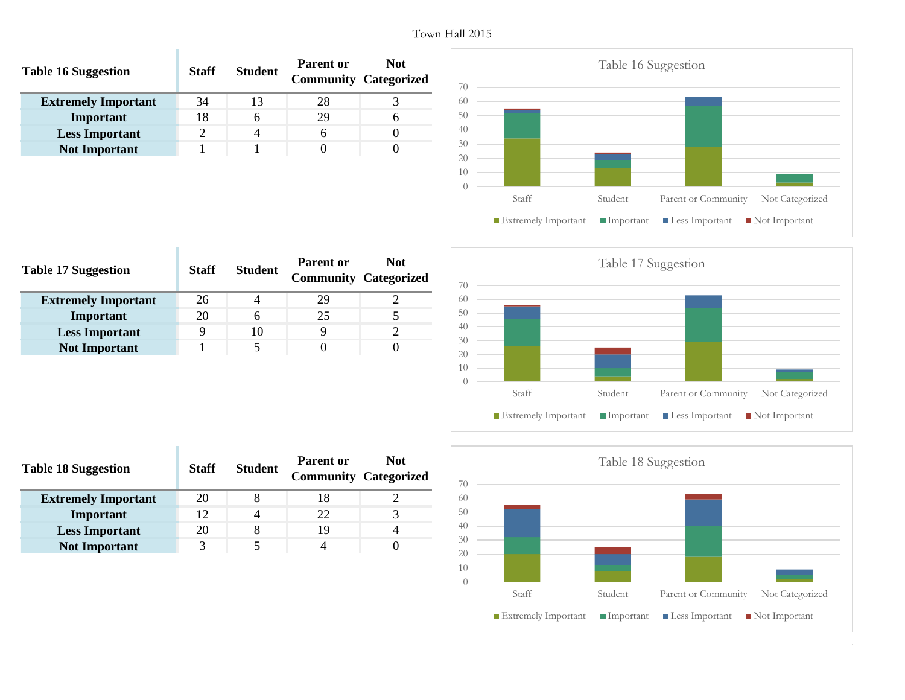| <b>Table 16 Suggestion</b> | <b>Staff</b> | <b>Student</b> | <b>Parent or</b> | Not.<br><b>Community Categorized</b> |
|----------------------------|--------------|----------------|------------------|--------------------------------------|
| <b>Extremely Important</b> | 34           | 13             | 28               |                                      |
| Important                  | 18           | h              | 29               |                                      |
| <b>Less Important</b>      |              | Δ              |                  |                                      |
| <b>Not Important</b>       |              |                |                  |                                      |



| <b>Table 17 Suggestion</b> | <b>Staff</b> | <b>Student</b> | <b>Parent or</b> | Not.<br><b>Community Categorized</b> |
|----------------------------|--------------|----------------|------------------|--------------------------------------|
| <b>Extremely Important</b> | 26           |                | 29               |                                      |
| Important                  | 20           |                | 25               |                                      |
| <b>Less Important</b>      | Q            |                |                  |                                      |
| <b>Not Important</b>       |              |                |                  |                                      |



| <b>Table 18 Suggestion</b> | <b>Staff</b> | <b>Student</b> | <b>Parent or</b> | Not.<br><b>Community Categorized</b> |
|----------------------------|--------------|----------------|------------------|--------------------------------------|
| <b>Extremely Important</b> | 20           |                |                  |                                      |
| Important                  |              |                | 22               |                                      |
| <b>Less Important</b>      | 20           |                | 19               |                                      |
| <b>Not Important</b>       |              |                |                  |                                      |

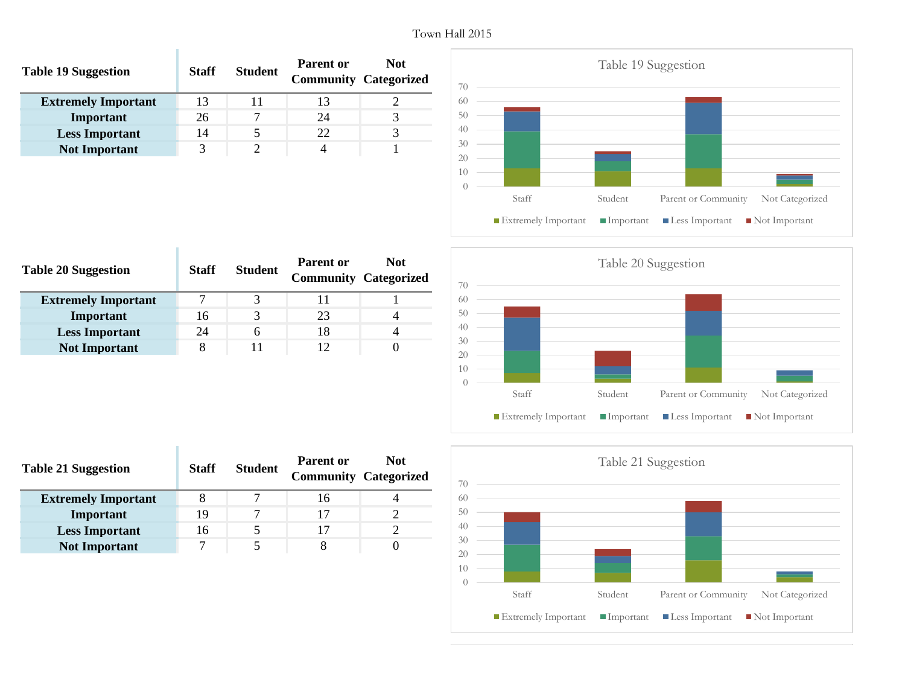| <b>Table 19 Suggestion</b> | <b>Staff</b> | <b>Student</b> | <b>Parent or</b> | Not.<br><b>Community Categorized</b> |
|----------------------------|--------------|----------------|------------------|--------------------------------------|
| <b>Extremely Important</b> | 13           |                | 13               |                                      |
| Important                  | 26           |                | 24               |                                      |
| <b>Less Important</b>      | 14           |                | 22               |                                      |
| <b>Not Important</b>       |              |                |                  |                                      |



| <b>Table 20 Suggestion</b> | <b>Staff</b> | <b>Student</b> | <b>Parent or</b> | Not.<br><b>Community Categorized</b> |
|----------------------------|--------------|----------------|------------------|--------------------------------------|
| <b>Extremely Important</b> |              |                |                  |                                      |
| Important                  | 16           |                | 23               |                                      |
| <b>Less Important</b>      | 24           | h              | 18               |                                      |
| <b>Not Important</b>       |              |                |                  |                                      |



| <b>Table 21 Suggestion</b> | <b>Staff</b> | <b>Student</b> | <b>Parent or</b> | <b>Not</b><br><b>Community Categorized</b> |
|----------------------------|--------------|----------------|------------------|--------------------------------------------|
| <b>Extremely Important</b> |              |                | 16               |                                            |
| Important                  | 19           |                |                  |                                            |
| <b>Less Important</b>      | 16           |                |                  |                                            |
| <b>Not Important</b>       |              |                |                  |                                            |

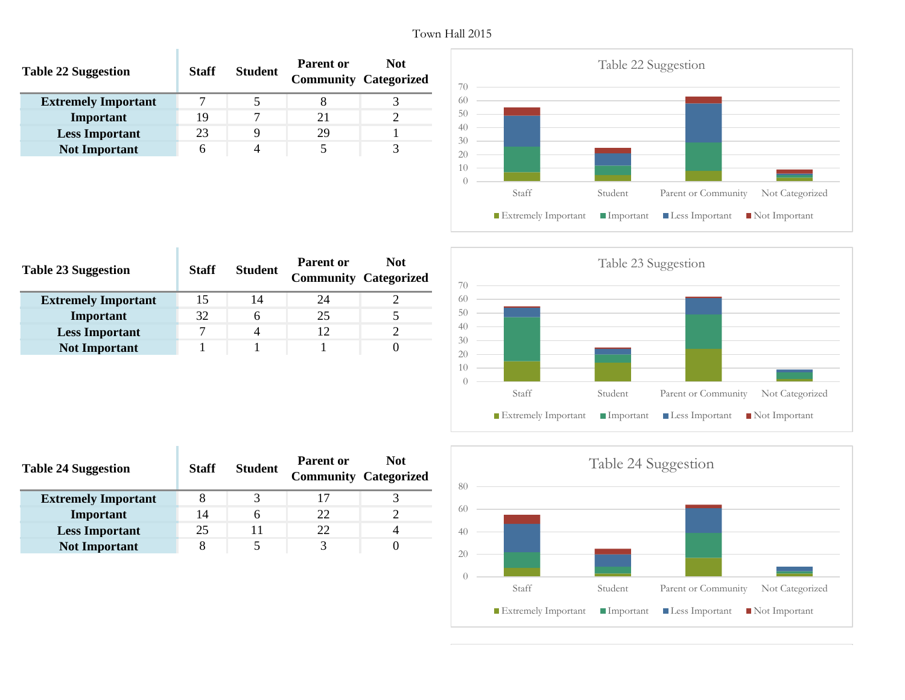| <b>Table 22 Suggestion</b> | <b>Staff</b> | <b>Student</b> | <b>Parent or</b> | Not.<br><b>Community Categorized</b> |
|----------------------------|--------------|----------------|------------------|--------------------------------------|
| <b>Extremely Important</b> |              |                |                  |                                      |
| Important                  | 19           |                | 21               |                                      |
| <b>Less Important</b>      | 23           |                | 29               |                                      |
| <b>Not Important</b>       | h            | 4              |                  |                                      |



| <b>Table 23 Suggestion</b> | <b>Staff</b> | <b>Student</b> | <b>Parent or</b> | Not.<br><b>Community Categorized</b> |
|----------------------------|--------------|----------------|------------------|--------------------------------------|
| <b>Extremely Important</b> |              | 14             | 24               |                                      |
| Important                  | 32           |                | 25               |                                      |
| <b>Less Important</b>      |              |                |                  |                                      |
| <b>Not Important</b>       |              |                |                  |                                      |

 $\mathbf{u}$ 



| <b>Table 24 Suggestion</b> | <b>Staff</b> | <b>Student</b> | <b>Parent or</b> | <b>Not</b><br><b>Community Categorized</b> |
|----------------------------|--------------|----------------|------------------|--------------------------------------------|
| <b>Extremely Important</b> |              |                |                  |                                            |
| Important                  | 14           |                | 22               |                                            |
| <b>Less Important</b>      | 25           |                | 22               |                                            |
| <b>Not Important</b>       |              |                |                  |                                            |